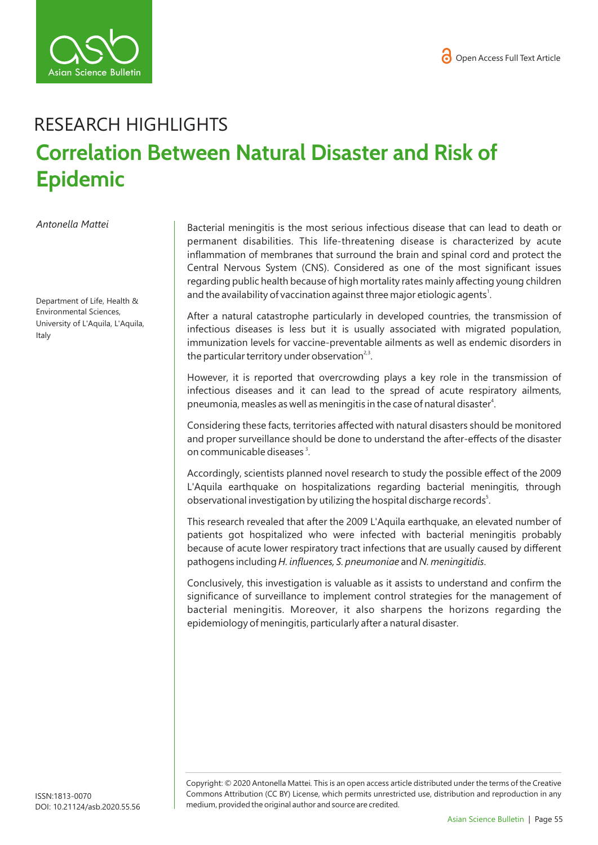



## RESEARCH HIGHLIGHTS **Correlation Between Natural Disaster and Risk of Epidemic**

*Antonella Mattei* 

Department of Life, Health & Environmental Sciences, University of L'Aquila, L'Aquila, Italy

Bacterial meningitis is the most serious infectious disease that can lead to death or permanent disabilities. This life-threatening disease is characterized by acute inflammation of membranes that surround the brain and spinal cord and protect the Central Nervous System (CNS). Considered as one of the most significant issues regarding public health because of high mortality rates mainly affecting young children and the availability of vaccination against three major etiologic agents<sup>1</sup>.

After a natural catastrophe particularly in developed countries, the transmission of infectious diseases is less but it is usually associated with migrated population, immunization levels for vaccine-preventable ailments as well as endemic disorders in the particular territory under observation<sup>2,3</sup>.

However, it is reported that overcrowding plays a key role in the transmission of infectious diseases and it can lead to the spread of acute respiratory ailments, pneumonia, measles as well as meningitis in the case of natural disaster<sup>4</sup>.

Considering these facts, territories affected with natural disasters should be monitored and proper surveillance should be done to understand the after-effects of the disaster on communicable diseases<sup>3</sup>.

Accordingly, scientists planned novel research to study the possible effect of the 2009 L'Aquila earthquake on hospitalizations regarding bacterial meningitis, through observational investigation by utilizing the hospital discharge records<sup>5</sup>.

This research revealed that after the 2009 L'Aquila earthquake, an elevated number of patients got hospitalized who were infected with bacterial meningitis probably because of acute lower respiratory tract infections that are usually caused by different pathogens including *H. influences, S. pneumoniae* and *N. meningitidis*.

Conclusively, this investigation is valuable as it assists to understand and confirm the significance of surveillance to implement control strategies for the management of bacterial meningitis. Moreover, it also sharpens the horizons regarding the epidemiology of meningitis, particularly after a natural disaster.

Copyright: © 2020 Antonella Mattei*.* This is an open access article distributed under the terms of the Creative Commons Attribution (CC BY) License, which permits unrestricted use, distribution and reproduction in any medium, provided the original author and source are credited.